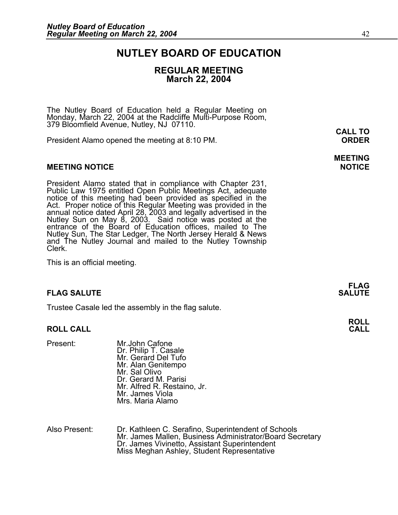### **NUTLEY BOARD OF EDUCATION**

#### **REGULAR MEETING March 22, 2004**

The Nutley Board of Education held a Regular Meeting on Monday, March 22, 2004 at the Radcliffe Multi-Purpose Room, 379 Bloomfield Avenue, Nutley, NJ 07110. **CALL TO** 

President Alamo opened the meeting at 8:10 PM. **ORDER**

#### **MEETING NOTICE NOTICE AND INCOMEDIATE**

President Alamo stated that in compliance with Chapter 231,<br>Public Law 1975 entitled Open Public Meetings Act, adequate<br>notice of this meeting had been provided as specified in the<br>Act. Proper notice of this Regular Meetin annual notice dated April 28, 2003 and legally advertised in the<br>Nutley Sun on May 8, 2003. Said notice was posted at the<br>entrance of the Board of Education offices, mailed to The Nutley Sun, The Star Ledger, The North Jersey Herald & News and The Nutley Journal and mailed to the Nutley Township Clerk.

This is an official meeting.

#### **FLAG SALUTE SALUTE SALUTE**

Trustee Casale led the assembly in the flag salute.

#### **ROLL CALL**

Present: Mr.John Cafone Dr. Philip T. Casale Mr. Gerard Del Tufo Mr. Alan Genitempo Mr. Sal Olivo Dr. Gerard M. Parisi Mr. Alfred R. Restaino, Jr. Mr. James Viola Mrs. Maria Alamo

Also Present: Dr. Kathleen C. Serafino, Superintendent of Schools Mr. James Mallen, Business Administrator/Board Secretary<br>Dr. James Vivinetto, Assistant Superintendent<br>Miss Meghan Ashley, Student Representative

**FLAG** 

**ROLL**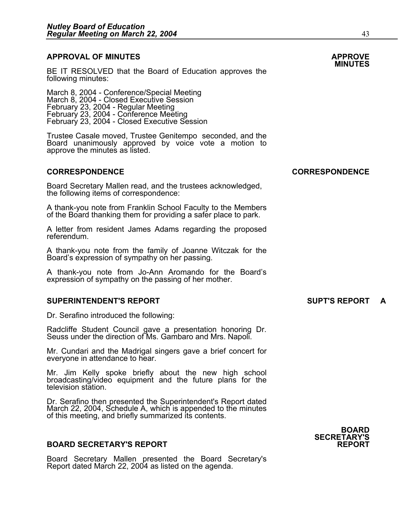### **APPROVAL OF MINUTES APPROVE**

BE IT RESOLVED that the Board of Education approves the following minutes:

 March 8, 2004 - Conference/Special Meeting March 8, 2004 - Closed Executive Session February 23, 2004 - Regular Meeting February 23, 2004 - Conference Meeting February 23, 2004 - Closed Executive Session

> Trustee Casale moved, Trustee Genitempo seconded, and the Board unanimously approved by voice vote a motion to approve the minutes as listed.

#### **CORRESPONDENCE CORRESPONDENCE**

Board Secretary Mallen read, and the trustees acknowledged, the following items of correspondence:

A thank-you note from Franklin School Faculty to the Members of the Board thanking them for providing a safer place to park.

A letter from resident James Adams regarding the proposed referendum.

A thank-you note from the family of Joanne Witczak for the Board's expression of sympathy on her passing.

A thank-you note from Jo-Ann Aromando for the Board's expression of sympathy on the passing of her mother.

#### **SUPERINTENDENT'S REPORT SUPT'S REPORT A**

Dr. Serafino introduced the following:

Radcliffe Student Council gave a presentation honoring Dr. Seuss under the direction of Ms. Gambaro and Mrs. Napoli.

Mr. Cundari and the Madrigal singers gave a brief concert for everyone in attendance to hear.

Mr. Jim Kelly spoke briefly about the new high school broadcasting/video equipment and the future plans for the television station.

Dr. Serafino then presented the Superintendent's Report dated March 22, 2004, Schedule A, which is appended to the minutes of this meeting, and briefly summarized its contents.

#### **BOARD SECRETARY'S REPORT**

Board Secretary Mallen presented the Board Secretary's Report dated March 22, 2004 as listed on the agenda.



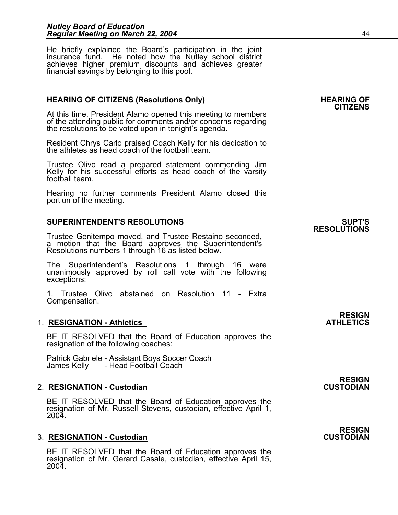He briefly explained the Board's participation in the joint insurance fund. He noted how the Nutley school district achieves higher premium discounts and achieves greater financial savings by belonging to this pool.

#### HEARING OF CITIZENS (Resolutions Only) **HEARING OF SEARING** OF

At this time, President Alamo opened this meeting to members of the attending public for comments and/or concerns regarding the resolutions to be voted upon in tonight's agenda.

Resident Chrys Carlo praised Coach Kelly for his dedication to the athletes as head coach of the football team.

Trustee Olivo read a prepared statement commending Jim<br>Kelly for his successful efforts as head coach of the varsity football team.

Hearing no further comments President Alamo closed this portion of the meeting.

#### **SUPERINTENDENT'S RESOLUTIONS SUPT'S**

Trustee Genitempo moved, and Trustee Restaino seconded, a motion that the Board approves the Superintendent's Resolutions numbers 1 through 16 as listed below.

The Superintendent's Resolutions 1 through 16 were unanimously approved by roll call vote with the following exceptions:

1. Trustee Olivo abstained on Resolution 11 - Extra Compensation.

#### **1. RESIGNATION - Athletics**

BE IT RESOLVED that the Board of Education approves the resignation of the following coaches:

Patrick Gabriele - Assistant Boys Soccer Coach - Head Football Coach

#### 2. **RESIGNATION - Custodian**

BE IT RESOLVED that the Board of Education approves the resignation of Mr. Russell Stevens, custodian, effective April 1, 2004.

#### **3. RESIGNATION - Custodian**

BE IT RESOLVED that the Board of Education approves the resignation of Mr. Gerard Casale, custodian, effective April 15, 2004.

**CITIZENS** 

## **RESOLUTIONS**

## **RESIGN<br>ATHLETICS**

## **RESIGN<br>CUSTODIAN**

### **RESIGN<br>CUSTODIAN**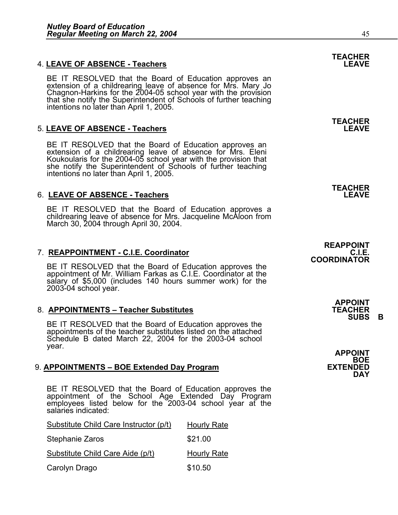#### **4. LEAVE OF ABSENCE - Teachers**

BE IT RESOLVED that the Board of Education approves an extension of a childrearing leave of absence for Mrs. Mary Jo Chagnon-Harkins for the 2004-05 school year with the provision that she notify the Superintendent of Scho

#### 5. **LEAVE OF ABSENCE - Teachers LEAVE**

BE IT RESOLVED that the Board of Education approves an extension of a childrearing leave of absence for Mrs. Eleni Koukoularis for the 2004-05 school year with the provision that she notify the Superintendent of Schools of further teaching intentions no later than April 1, 2005.

#### 6. LEAVE OF ABSENCE - Teachers

BE IT RESOLVED that the Board of Education approves a childrearing leave of absence for Mrs. Jacqueline McAloon from March 30, 2004 through April 30, 2004.

#### 7. **REAPPOINTMENT - C.I.E. Coordinator C.I.E.**

BE IT RESOLVED that the Board of Education approves the appointment of Mr. William Farkas as C.I.E. Coordinator at the salary of \$5,000 (includes 140 hours summer work) for the 2003-04 school year.

#### 8. **APPOINTMENTS – Teacher Substitutes**

BE IT RESOLVED that the Board of Education approves the appointments of the teacher substitutes listed on the attached Schedule B dated March 22, 2004 for the 2003-04 school year. **APPOINT** 

#### 9. **APPOINTMENTS – BOE Extended Day Program**

BE IT RESOLVED that the Board of Education approves the appointment of the School Age Extended Day Program employees listed below for the 2003-04 school year at the salaries indicated:

| Substitute Child Care Instructor (p/t) | <b>Hourly Rate</b> |
|----------------------------------------|--------------------|
| Stephanie Zaros                        | \$21.00            |
| Substitute Child Care Aide (p/t)       | <b>Hourly Rate</b> |
| Carolyn Drago                          | \$10.50            |

## **TEACHER**

**TEACHER** 

**TEACHER** 

### **REAPPOINT COORDINATOR**

**APPOINT SUBS B** 

**BOE**<br>EXTENDED **DAY**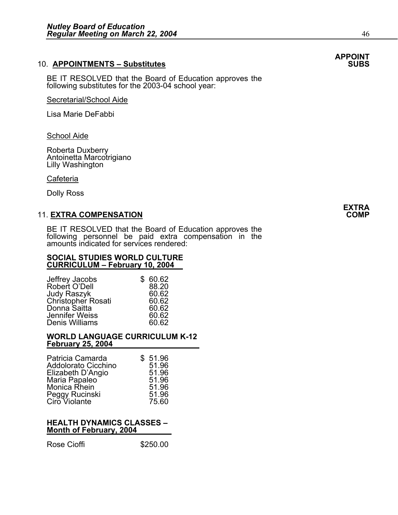#### **10. APPOINTMENTS - Substitutes**

BE IT RESOLVED that the Board of Education approves the following substitutes for the 2003-04 school year:

#### Secretarial/School Aide

Lisa Marie DeFabbi

#### **School Aide**

Roberta Duxberry Antoinetta Marcotrigiano Lilly Washington

#### Cafeteria

Dolly Ross

#### 11. **EXTRA COMPENSATION COMP**

BE IT RESOLVED that the Board of Education approves the following personnel be paid extra compensation in the amounts indicated for services rendered:

#### **SOCIAL STUDIES WORLD CULTURE CURRICULUM – February 10, 2004**

| \$60.62 |
|---------|
| 88.20   |
| 60.62   |
| 60.62   |
| 60.62   |
| 60.62   |
| 60.62   |
|         |

#### **WORLD LANGUAGE CURRICULUM K-12 February 25, 2004**

#### **HEALTH DYNAMICS CLASSES – Month of February, 2004**

Rose Cioffi **\$250.00** 

## **APPOINT**

### **EXTRA**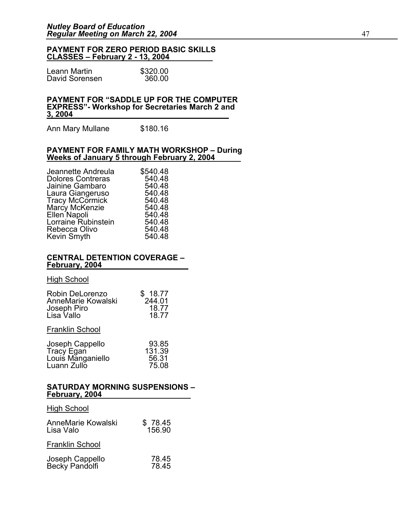#### **PAYMENT FOR ZERO PERIOD BASIC SKILLS CLASSES – February 2 - 13, 2004**

| Leann Martin   | \$320.00 |
|----------------|----------|
| David Sorensen | 360.00   |

#### **PAYMENT FOR "SADDLE UP FOR THE COMPUTER EXPRESS"- Workshop for Secretaries March 2 and 3, 2004**

Ann Mary Mullane \$180.16

#### **PAYMENT FOR FAMILY MATH WORKSHOP – During Weeks of January 5 through February 2, 2004**

| Jeannette Andreula       | \$540.48 |
|--------------------------|----------|
| <b>Dolores Contreras</b> | 540.48   |
| Jainine Gambaro          | 540.48   |
| Laura Giangeruso         | 540.48   |
| <b>Tracy McCormick</b>   | 540.48   |
| Marcy McKenzie           | 540.48   |
| Ellen Napoli             | 540.48   |
| Lorraine Rubinstein      | 540.48   |
| Rebecca Olivo            | 540.48   |
| Kevin Smyth              | 540.48   |
|                          |          |

#### **CENTRAL DETENTION COVERAGE – February, 2004**

#### High School

| Robin DeLorenzo<br>AnneMarie Kowalski<br>Joseph Piro<br>Lisa Vallo | \$18.77<br>244.01<br>18.77<br>18.77 |
|--------------------------------------------------------------------|-------------------------------------|
| <b>Franklin School</b>                                             |                                     |
| Joseph Cappello                                                    | 93.85<br>121.20                     |

| Tracy Egan                       | 131.39         |
|----------------------------------|----------------|
| Louis Manganiello<br>Luann Zullo | 56.31<br>75.08 |
|                                  |                |

#### **SATURDAY MORNING SUSPENSIONS – February, 2004**

### High School AnneMarie Kowalski  $$78.45$ <br>Lisa Valo 156.90 Lisa Valo Franklin School Joseph Cappello 78.45<br>Becky Pandolfi 78.45

Becky Pandolfi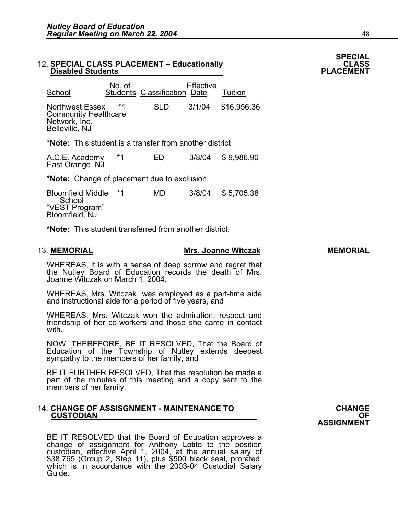### 12. SPECIAL CLASS PLACEMENT – Educationally **CLASS** CLASS<br>PLACEMENT – Disabled Students

| School                                                                                   | No. of | <b>Students Classification Date</b> | <b>Effective</b> | Tuition     |
|------------------------------------------------------------------------------------------|--------|-------------------------------------|------------------|-------------|
| <b>Northwest Essex</b><br><b>Community Healthcare</b><br>Network, Inc.<br>Belleville, NJ |        | SLD                                 | 3/1/04           | \$16,956.36 |
|                                                                                          |        |                                     |                  |             |

**\*Note:** This student is a transfer from another district

| A.C.E. Academy  | ED | 3/8/04 \$9,986.90 |
|-----------------|----|-------------------|
| East Orange, NJ |    |                   |

**\*Note:** Change of placement due to exclusion

Bloomfield Middle \*1 MD 3/8/04 \$ 5,705.38 **School** "VEST Program" Bloomfield, NJ

**\*Note:** This student transferred from another district.

#### 13. **MEMORIAL Mrs. Joanne Witczak MEMORIAL**

WHEREAS, it is with a sense of deep sorrow and regret that the Nutley Board of Education records the death of Mrs. Joanne Witczak on March 1, 2004,

WHEREAS, Mrs. Witczak was employed as a part-time aide and instructional aide for a period of five years, and

WHEREAS, Mrs. Witczak won the admiration, respect and friendship of her co-workers and those she came in contact with.

NOW, THEREFORE, BE IT RESOLVED, That the Board of Education of the Township of Nutley extends deepest sympathy to the members of her family, and

BE IT FURTHER RESOLVED, That this resolution be made a part of the minutes of this meeting and a copy sent to the members of her family.

# 14. **CHANGE OF ASSISGNMENT - MAINTENANCE TO** CHANGE CHANGE **CUSTODIAN**<br>OF <u>CUSTODIAN</u>

BE IT RESOLVED that the Board of Education approves a<br>change of assignment for Anthony Lotito to the position<br>custodian, effective April 1, 2004, at the annual salary of<br>\$38,765 (Group 2, Step 11), plus \$500 black seal, pr which is in accordance with the 2003-04 Custodial Salary<br>Guide.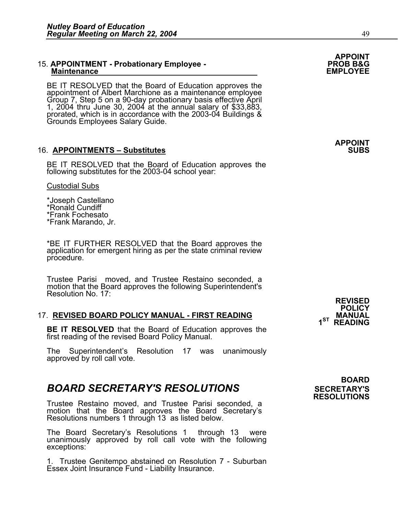### 15. **APPOINTMENT - Probationary Employee - PROB B&G Maintenance EMPLOYEE**

BE IT RESOLVED that the Board of Education approves the<br>appointment of Albert Marchione as a maintenance employee<br>Group 7, Step 5 on a 90-day probationary basis effective April<br>1, 2004 thru June 30, 2004 at the annual sala

#### 16. APPOINTMENTS – Substitutes **SUBS**

BE IT RESOLVED that the Board of Education approves the following substitutes for the 2003-04 school year:

#### Custodial Subs

\*Joseph Castellano \*Ronald Cundiff \*Frank Fochesato \*Frank Marando, Jr.

\*BE IT FURTHER RESOLVED that the Board approves the application for emergent hiring as per the state criminal review procedure.

Trustee Parisi moved, and Trustee Restaino seconded, a motion that the Board approves the following Superintendent's Resolution No. 17:

#### 17. **REVISED BOARD POLICY MANUAL - FIRST READING MANUAL**

**BE IT RESOLVED** that the Board of Education approves the first reading of the revised Board Policy Manual.

The Superintendent's Resolution 17 was unanimously approved by roll call vote.

### **BOARD SECRETARY'S RESOLUTIONS** SECRETARY'S

Trustee Restaino moved, and Trustee Parisi seconded, a motion that the Board approves the Board Secretary's Resolutions numbers 1 through 13 as listed below.

The Board Secretary's Resolutions 1 through 13 were unanimously approved by roll call vote with the following exceptions:

1. Trustee Genitempo abstained on Resolution 7 - Suburban Essex Joint Insurance Fund - Liability Insurance.

### **BOARD RESOLUTIONS**

# **APPOINT**

# **APPOINT**

 **REVISED POLICY 1ST READING**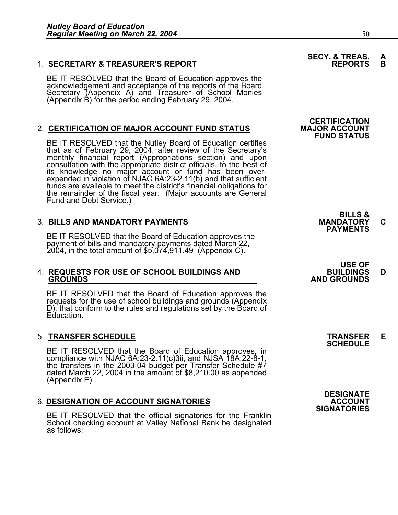#### 1. **SECRETARY & TREASURER'S REPORT**

 BE IT RESOLVED that the Board of Education approves the acknowledgement and acceptance of the reports of the Board<br>Secretary (Appendix A) and Treasurer of School Monies (Appendix B) for the period ending February 29, 2004.

### **2. CERTIFICATION OF MAJOR ACCOUNT FUND STATUS**

BE IT RESOLVED that the Nutley Board of Education certifies that as of February 29, 2004, after review of the Secretary's monthly financial report (Appropriations section) and upon consultation with the appropriate district officials, to the best of its knowledge no major account or fund has been overexpended in violation of NJAC 6A:23-2.11(b) and that sufficient<br>funds are available to meet the district's financial obligations for the remainder of the fiscal year. (Major accounts are General Fund and Debt Service.)

3. BILLS AND MANDATORY PAYMENTS<br>BE IT RESOLVED that the Board of Education approves the **PAYMENTS** BE IT RESOLVED that the Board of Education approves the<br>payment of bills and mandatory payments dated March 22, 2004, in the total amount of \$5,074,911.49 (Appendix C).

## 4. **REQUESTS FOR USE OF SCHOOL BUILDINGS AND BUILDINGS D GROUNDS AND GROUNDS**

BE IT RESOLVED that the Board of Education approves the requests for the use of school buildings and grounds (Appendix D), that conform to the rules and regulations set by the Board of Education.

### 5. **TRANSFER SCHEDULE TRANSFER E SCHEDULE**

BE IT RESOLVED that the Board of Education approves, in compliance with NJAC 6A:23-2.11(c)3ii, and NJSA 18A:22-8-1, the transfers in the 2003-04 budget per Transfer Schedule #7 dated March 22, 2004 in the amount of \$8,210.00 as appended (Appendix E).

### **6. DESIGNATION OF ACCOUNT SIGNATORIES**

BE IT RESOLVED that the official signatories for the Franklin School checking account at Valley National Bank be designated as follows:

## **SECY. & TREAS. A**<br>**REPORTS** B

### **CERTIFICATION FUND STATUS**

**BILLS &** 

# **USE OF**

**DESIGNATE SIGNATORIES**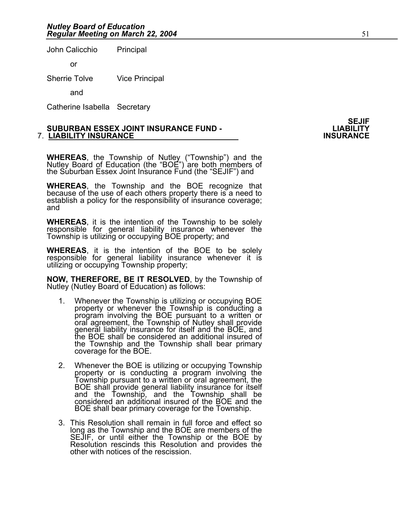John Calicchio Principal

or

Sherrie Tolve Vice Principal

and

Catherine Isabella Secretary

#### **SUBURBAN ESSEX JOINT INSURANCE FUND - LIABILITY 7. LIABILITY INSURANCE**

WHEREAS, the Township of Nutley ("Township") and the Nutley Board of Education (the "BOE") are both members of the Suburban Essex Joint Insurance Fund (the "SEJIF") and

**WHEREAS**, the Township and the BOE recognize that because of the use of each others property there is a need to establish a policy for the responsibility of insurance coverage; and

**WHEREAS**, it is the intention of the Township to be solely responsible for general liability insurance whenever the Township is utilizing or occupying BOE property; and

**WHEREAS**, it is the intention of the BOE to be solely responsible for general liability insurance whenever it is utilizing or occupying Township property;

**NOW, THEREFORE, BE IT RESOLVED**, by the Township of Nutley (Nutley Board of Education) as follows:

- 1. Whenever the Township is utilizing or occupying BOE property or whenever the Township is conducting a program involving the BOE pursuant to a written or oral agreement, the Township of Nutley shall provide general liability insurance for itself and the BOE, and the BOE shall be considered an additional insured of the Township and the Township shall bear primary coverage for the BOE.
- 2. Whenever the BOE is utilizing or occupying Township property or is conducting a program involving the Township pursuant to a written or oral agreement, the property or is conducting a program involving the<br>Township pursuant to a written or oral agreement, the<br>BOE shall provide general liability insurance for itself<br>and the Township, and the Township shall be considered an additional insured of the BOE and the BOE shall bear primary coverage for the Township.
- 3. This Resolution shall remain in full force and effect so long as the Township and the BOE are members of the SEJIF, or until either the Township or the BOE by Resolution rescinds this Resolution and provides the other with notices of the rescission.

**SEJIF**<br>LIABILITY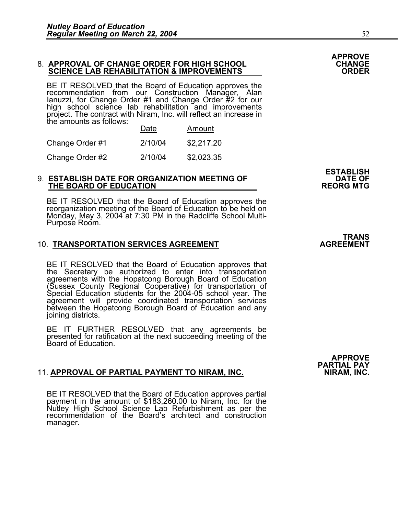### 8. **APPROVAL OF CHANGE ORDER FOR HIGH SCHOOL CHANGE SCIENCE LAB REHABILITATION & IMPROVEMENTS ORDER**

BE IT RESOLVED that the Board of Education approves the recommendation from our Construction Manager, Alan Ianuzzi, for Change Order #1 and Change Order #2 for our high school science lab rehabilitation and improvements project. The contract with Niram, Inc. will reflect an increase in the amounts as follows:

|                 | Date    | Amount     |
|-----------------|---------|------------|
| Change Order #1 | 2/10/04 | \$2,217.20 |
| Change Order #2 | 2/10/04 | \$2,023.35 |

### 9. **ESTABLISH DATE FOR ORGANIZATION MEETING OF DATE OF THE BOARD OF EDUCATION REORG MTG**

BE IT RESOLVED that the Board of Education approves the reorganization meeting of the Board of Education to be held on Monday, May 3, 2004 at 7:30 PM in the Radcliffe School Multi-Purpose Room.

#### **10. TRANSPORTATION SERVICES AGREEMENT**

BE IT RESOLVED that the Board of Education approves that the Secretary be authorized to enter into transportation agreements with the Hopatcong Borough Board of Education (Sussex County Regional Cooperative) for transportation of Special Education students for the 2004-05 school year. The agreement will provide coordinated transportation services between the Hopatcong Borough Board of Education and any joining districts.

BE IT FURTHER RESOLVED that any agreements be presented for ratification at the next succeeding meeting of the Board of Education.

#### 11. APPROVAL OF PARTIAL PAYMENT TO NIRAM, INC.

BE IT RESOLVED that the Board of Education approves partial payment in the amount of \$183,260.00 to Niram, Inc. for the Nutley High School Science Lab Refurbishment as per the recommendation of the Board's architect and construction manager.

**APPROVE PARTIAL PAY** 

**APPROVE**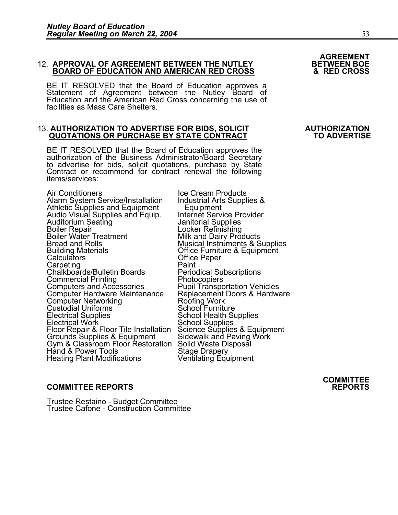### 12. **APPROVAL OF AGREEMENT BETWEEN THE NUTLEY BETWEEN BOE BOARD OF EDUCATION AND AMERICAN RED CROSS & RED CROSS**

BE IT RESOLVED that the Board of Education approves a Statement of Agreement between the Nutley Board of Education and the American Red Cross concerning the use of facilities as Mass Care Shelters.

#### 13. **AUTHORIZATION TO ADVERTISE FOR BIDS, SOLICIT AUTHORIZATION QUOTATIONS OR PURCHASE BY STATE CONTRACT**

BE IT RESOLVED that the Board of Education approves the authorization of the Business Administrator/Board Secretary to advertise for bids, solicit quotations, purchase by State Contract or recommend for contract renewal th

Air Conditioners<br>Alarm System Service/Installation Industrial Arts Supplies & Alarm System Service/Installation Industrial Arts<br>Athletic Supplies and Equipment Equipment Athletic Supplies and Equipment<br>
Audio Visual Supplies and Equip. Internet Service Provider<br>
Auditorium Seating **Internet Service Provider**<br>
Janitorial Supplies Auditorium Seating Janitorial Supplies<br>Boiler Repair Locker Refinishing Boiler Water Treatment Milk and Dairy Products<br>Bread and Rolls Musical Instruments & Supplies<br>Building Materials Musical Coffice Furniture & Equipment Building Materials Office Furniture & Equipment Calculators Office Paper Carpeting Paint Chalkboards/Bulletin Boards Periodical Sul<br>Commercial Printing Photocopiers<br>Computers and Accessories Pupil Transpc Computer Hardware Maintenance Replacement Do<br>Computer Networking Roofing Work<br>Custodial Uniforms **Custodial Roofing Roofing** Custodial Uniforms<br>
Electrical Supplies<br>
School Health Supplies Electrical Supplies School Health Supplies Electrical Work Floor Tile Installation<br>
Floor Repair & Floor Tile Installation<br>
Science Supplies & Equipment<br>
Grounds Supplies & Equipment Sidewalk and Paving Work<br>
Gym & Classroom Floor Restoration Solid Waste Disposal<br>

**COMMITTEE REPORTS REPORTS** 

Trustee Restaino - Budget Committee Trustee Cafone - Construction Committee

Pupil Transportation Vehicles<br>Replacement Doors & Hardware

**AGREEMENT** 

**COMMITTEE**